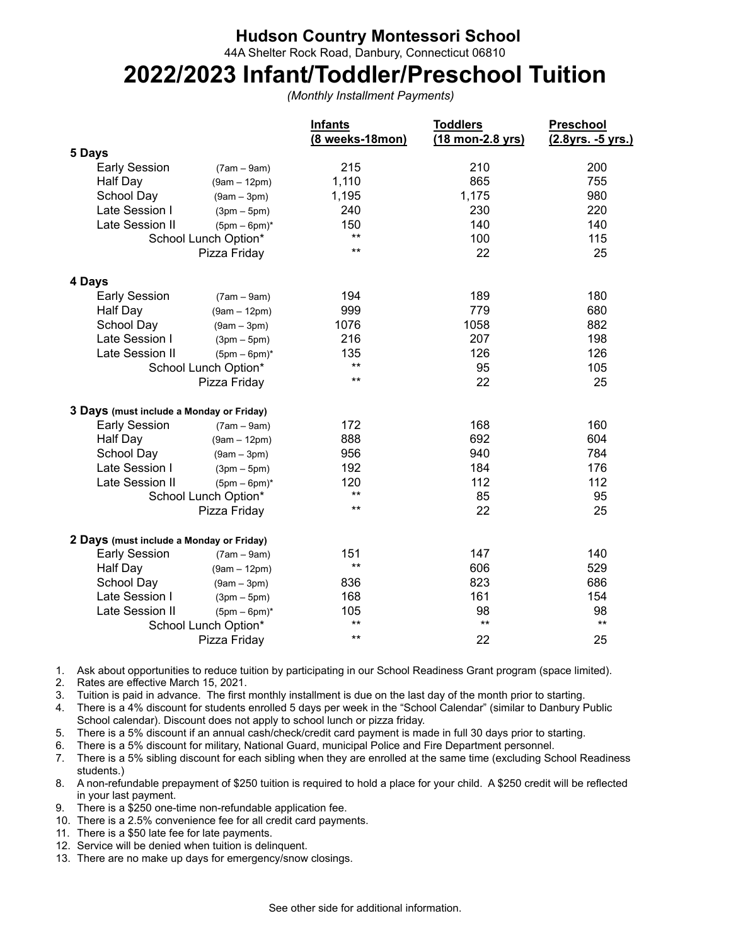## **Hudson Country Montessori School**

44A Shelter Rock Road, Danbury, Connecticut 06810

## **2022/2023 Infant/Toddler/Preschool Tuition**

*(Monthly Installment Payments)*

|                                          |                | <b>Infants</b><br>(8 weeks-18mon) | <b>Toddlers</b><br>(18 mon-2.8 yrs) | Preschool<br>(2.8yrs. -5 yrs.) |
|------------------------------------------|----------------|-----------------------------------|-------------------------------------|--------------------------------|
| 5 Days                                   |                |                                   |                                     |                                |
| <b>Early Session</b>                     | $(7am - 9am)$  | 215                               | 210                                 | 200                            |
| Half Day                                 | $(9am - 12pm)$ | 1,110                             | 865                                 | 755                            |
| School Day                               | $(9am - 3pm)$  | 1,195                             | 1,175                               | 980                            |
| Late Session I                           | $(3pm-5pm)$    | 240                               | 230                                 | 220                            |
| Late Session II                          | $(5pm-6pm)^*$  | 150                               | 140                                 | 140                            |
| School Lunch Option*                     |                | $***$                             | 100                                 | 115                            |
| Pizza Friday                             |                | $***$                             | 22                                  | 25                             |
| 4 Days                                   |                |                                   |                                     |                                |
| <b>Early Session</b>                     | $(7am - 9am)$  | 194                               | 189                                 | 180                            |
| Half Day                                 | $(9am - 12pm)$ | 999                               | 779                                 | 680                            |
| School Day                               | $(9am - 3pm)$  | 1076                              | 1058                                | 882                            |
| Late Session I                           | $(3pm-5pm)$    | 216                               | 207                                 | 198                            |
| Late Session II                          | $(5pm-6pm)^*$  | 135                               | 126                                 | 126                            |
| School Lunch Option*                     |                | $***$                             | 95                                  | 105                            |
|                                          | Pizza Friday   | $***$                             | 22                                  | 25                             |
| 3 Days (must include a Monday or Friday) |                |                                   |                                     |                                |
| <b>Early Session</b>                     | $(7am - 9am)$  | 172                               | 168                                 | 160                            |
| Half Day                                 | $(9am - 12pm)$ | 888                               | 692                                 | 604                            |
| School Day                               | $(9am - 3pm)$  | 956                               | 940                                 | 784                            |
| Late Session I                           | $(3pm-5pm)$    | 192                               | 184                                 | 176                            |
| Late Session II                          | $(5pm-6pm)^*$  | 120                               | 112                                 | 112                            |
| School Lunch Option*                     |                | $***$                             | 85                                  | 95                             |
|                                          | Pizza Friday   | $***$                             | 22                                  | 25                             |
| 2 Days (must include a Monday or Friday) |                |                                   |                                     |                                |
| <b>Early Session</b>                     | $(7am - 9am)$  | 151                               | 147                                 | 140                            |
| Half Day                                 | $(9am - 12pm)$ | $***$                             | 606                                 | 529                            |
| School Day                               | $(9am - 3pm)$  | 836                               | 823                                 | 686                            |
| Late Session I                           | $(3pm-5pm)$    | 168                               | 161                                 | 154                            |
| Late Session II                          | $(5pm-6pm)^*$  | 105                               | 98                                  | 98                             |
| School Lunch Option*                     |                | $***$                             | $***$                               | $***$                          |
|                                          | Pizza Friday   | $***$                             | 22                                  | 25                             |

1. Ask about opportunities to reduce tuition by participating in our School Readiness Grant program (space limited).

2. Rates are effective March 15, 2021.

3. Tuition is paid in advance. The first monthly installment is due on the last day of the month prior to starting.

4. There is a 4% discount for students enrolled 5 days per week in the "School Calendar" (similar to Danbury Public School calendar). Discount does not apply to school lunch or pizza friday.

5. There is a 5% discount if an annual cash/check/credit card payment is made in full 30 days prior to starting.

6. There is a 5% discount for military, National Guard, municipal Police and Fire Department personnel.

7. There is a 5% sibling discount for each sibling when they are enrolled at the same time (excluding School Readiness students.)

8. A non-refundable prepayment of \$250 tuition is required to hold a place for your child. A \$250 credit will be reflected in your last payment.

9. There is a \$250 one-time non-refundable application fee.

- 10. There is a 2.5% convenience fee for all credit card payments.
- 11. There is a \$50 late fee for late payments.
- 12. Service will be denied when tuition is delinquent.
- 13. There are no make up days for emergency/snow closings.